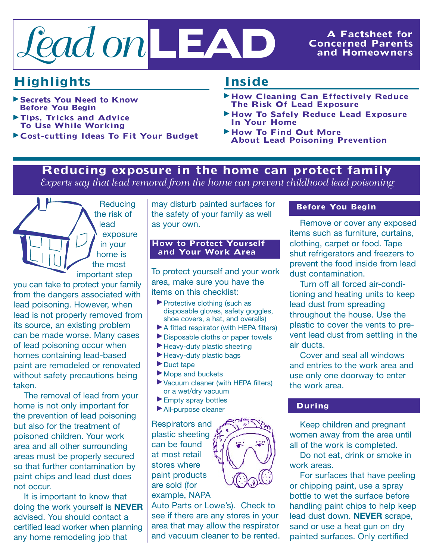

## **Concerned Parents and Homeowners**

# **Highlights**

- <sup>þ</sup> **Secrets You Need to Know Before You Begin**
- <sup>þ</sup> **Tips, Tricks and Advice To Use While Working**
- <sup>þ</sup> **Cost-cutting Ideas To Fit Your Budget**

## **Inside**

- <sup>þ</sup>**How Cleaning Can Effectively Reduce The Risk Of Lead Exposure**
- <sup>þ</sup>**How To Safely Reduce Lead Exposure In Your Home**
- <sup>þ</sup>**How To Find Out More About Lead Poisoning Prevention**

## **Reducing exposure in the home can protect family**

*Experts say that lead removal from the home can prevent childhood lead poisoning*

**Reducing** the risk of lead exposure in your home is the most important step

you can take to protect your family from the dangers associated with lead poisoning. However, when lead is not properly removed from its source, an existing problem can be made worse. Many cases of lead poisoning occur when homes containing lead-based paint are remodeled or renovated without safety precautions being taken.

The removal of lead from your Ine removal of lead from yo<br>home is not only important for the prevention of lead poisoning but also for the treatment of but also tor the treatment of<br>poisoned children. Your work area and all other surrounding area and an other surrounding<br>areas must be properly secured so that further contamination by paint chips and lead dust does not occur. afety<br>
nova<br>
ot or<br>
or the<br>
child<br>
all ot<br>
st be

It is important to know that doing the work yourself is **NEVER** advised. You should contact a certified lead worker when planning any home remodeling job that

may disturb painted surfaces for the safety of your family as well as your own.

#### **How to Protect Yourself and Your Work Area**

To protect yourself and your work area, make sure you have the items on this checklist:

- <sup>þ</sup> Protective clothing (such as disposable gloves, safety goggles, shoe covers, a hat, and overalls)
- <sup>þ</sup> A fitted respirator (with HEPA filters)
- <sup>þ</sup> Disposable cloths or paper towels
- <sup>þ</sup> Heavy-duty plastic sheeting
- <sup>þ</sup> Heavy-duty plastic bags
- $\blacktriangleright$  Duct tape
- $\blacktriangleright$  Mops and buckets
- <sup>þ</sup> Vacuum cleaner (with HEPA filters) or a wet/dry vacuum
- <sup>þ</sup> Empty spray bottles
- <sup>þ</sup> All-purpose cleaner

Respirators and plastic sheeting can be found at most retail stores where paint products are sold (for example, NAPA

Auto Parts or Lowe's). Check to see if there are any stores in your area that may allow the respirator and vacuum cleaner to be rented.

#### **Before You Begin**

Remove or cover any exposed items such as furniture, curtains, clothing, carpet or food. Tape shut refrigerators and freezers to prevent the food inside from lead dust contamination.

Turn off all forced air-conditioning and heating units to keep lead dust from spreading throughout the house. Use the plastic to cover the vents to prevent lead dust from settling in the air ducts.

Cover and seal all windows and entries to the work area and use only one doorway to enter the work area.

#### **During**

Keep children and pregnant women away from the area until all of the work is completed.

Do not eat, drink or smoke in work areas.

For surfaces that have peeling or chipping paint, use a spray bottle to wet the surface before handling paint chips to help keep lead dust down. **NEVER** scrape, sand or use a heat gun on dry painted surfaces. Only certified